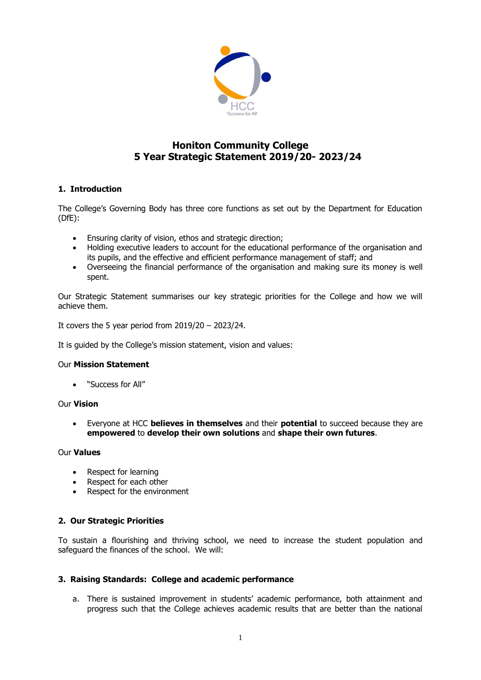

# **Honiton Community College 5 Year Strategic Statement 2019/20- 2023/24**

# **1. Introduction**

The College's Governing Body has three core functions as set out by the Department for Education (DfE):

- Ensuring clarity of vision, ethos and strategic direction;
- Holding executive leaders to account for the educational performance of the organisation and its pupils, and the effective and efficient performance management of staff; and
- Overseeing the financial performance of the organisation and making sure its money is well spent.

Our Strategic Statement summarises our key strategic priorities for the College and how we will achieve them.

It covers the 5 year period from  $2019/20 - 2023/24$ .

It is guided by the College's mission statement, vision and values:

## Our **Mission Statement**

• "Success for All"

## Our **Vision**

• Everyone at HCC **believes in themselves** and their **potential** to succeed because they are **empowered** to **develop their own solutions** and **shape their own futures**.

## Our **Values**

- Respect for learning
- Respect for each other
- Respect for the environment

# **2. Our Strategic Priorities**

To sustain a flourishing and thriving school, we need to increase the student population and safeguard the finances of the school. We will:

## **3. Raising Standards: College and academic performance**

a. There is sustained improvement in students' academic performance, both attainment and progress such that the College achieves academic results that are better than the national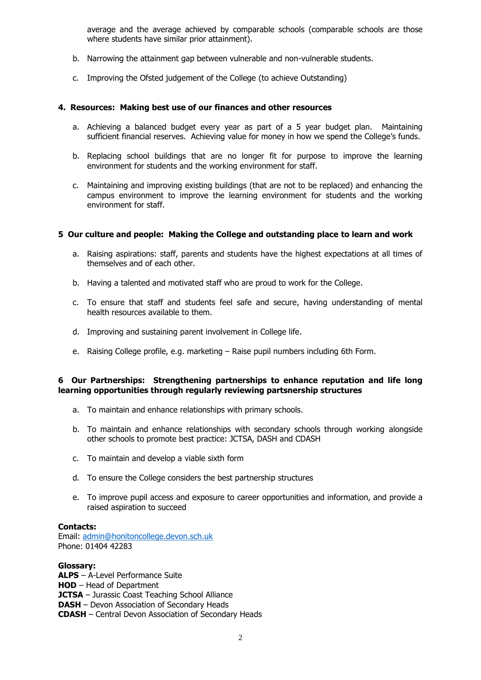average and the average achieved by comparable schools (comparable schools are those where students have similar prior attainment).

- b. Narrowing the attainment gap between vulnerable and non-vulnerable students.
- c. Improving the Ofsted judgement of the College (to achieve Outstanding)

#### **4. Resources: Making best use of our finances and other resources**

- a. Achieving a balanced budget every year as part of a 5 year budget plan. Maintaining sufficient financial reserves. Achieving value for money in how we spend the College's funds.
- b. Replacing school buildings that are no longer fit for purpose to improve the learning environment for students and the working environment for staff.
- c. Maintaining and improving existing buildings (that are not to be replaced) and enhancing the campus environment to improve the learning environment for students and the working environment for staff.

### **5 Our culture and people: Making the College and outstanding place to learn and work**

- a. Raising aspirations: staff, parents and students have the highest expectations at all times of themselves and of each other.
- b. Having a talented and motivated staff who are proud to work for the College.
- c. To ensure that staff and students feel safe and secure, having understanding of mental health resources available to them.
- d. Improving and sustaining parent involvement in College life.
- e. Raising College profile, e.g. marketing Raise pupil numbers including 6th Form.

### **6 Our Partnerships: Strengthening partnerships to enhance reputation and life long learning opportunities through regularly reviewing partsnership structures**

- a. To maintain and enhance relationships with primary schools.
- b. To maintain and enhance relationships with secondary schools through working alongside other schools to promote best practice: JCTSA, DASH and CDASH
- c. To maintain and develop a viable sixth form
- d. To ensure the College considers the best partnership structures
- e. To improve pupil access and exposure to career opportunities and information, and provide a raised aspiration to succeed

#### **Contacts:**

Email: [admin@honitoncollege.devon.sch.uk](mailto:admin@honitoncollege.devon.sch.uk) Phone: 01404 42283

#### **Glossary:**

**ALPS** – A-Level Performance Suite **HOD** – Head of Department **JCTSA** – Jurassic Coast Teaching School Alliance **DASH** – Devon Association of Secondary Heads **CDASH** – Central Devon Association of Secondary Heads